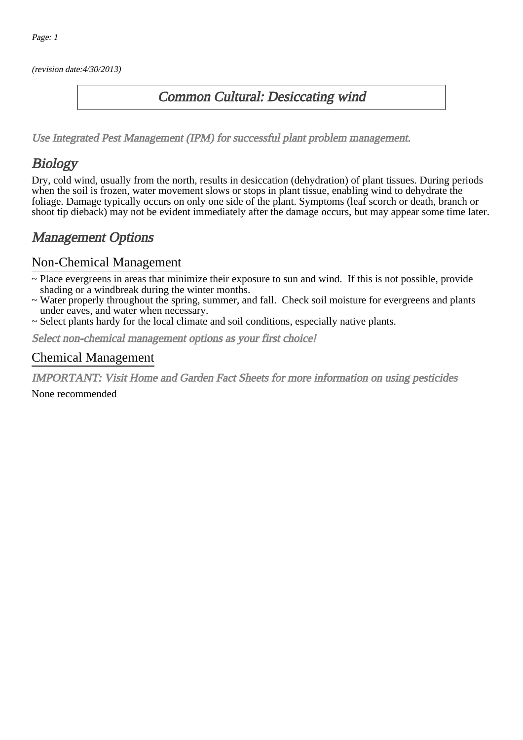(revision date:4/30/2013)

#### Common Cultural: Desiccating wind

[Use Integrated Pest Management \(IPM\) for successful plant problem management.](http://pep.wsu.edu/Home_Garden/H_G_Pesticide_info/urban_Integrated_Pest_Managmen/)

# **Biology**

Dry, cold wind, usually from the north, results in desiccation (dehydration) of plant tissues. During periods when the soil is frozen, water movement slows or stops in plant tissue, enabling wind to dehydrate the foliage. Damage typically occurs on only one side of the plant. Symptoms (leaf scorch or death, branch or shoot tip dieback) may not be evident immediately after the damage occurs, but may appear some time later.

### Management Options

#### Non-Chemical Management

- ~ Place evergreens in areas that minimize their exposure to sun and wind. If this is not possible, provide shading or a windbreak during the winter months.
- ~ Water properly throughout the spring, summer, and fall. Check soil moisture for evergreens and plants under eaves, and water when necessary.
- ~ Select plants hardy for the local climate and soil conditions, especially native plants.

Select non-chemical management options as your first choice!

#### Chemical Management

IMPORTANT: [Visit Home and Garden Fact Sheets for more information on using pesticides](http://pep.wsu.edu/Home_Garden/H_G_Pesticide_info/)

None recommended